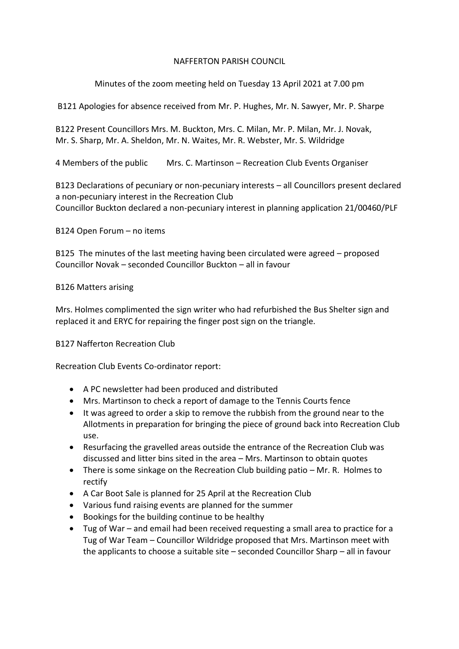### NAFFERTON PARISH COUNCIL

# Minutes of the zoom meeting held on Tuesday 13 April 2021 at 7.00 pm

B121 Apologies for absence received from Mr. P. Hughes, Mr. N. Sawyer, Mr. P. Sharpe

B122 Present Councillors Mrs. M. Buckton, Mrs. C. Milan, Mr. P. Milan, Mr. J. Novak, Mr. S. Sharp, Mr. A. Sheldon, Mr. N. Waites, Mr. R. Webster, Mr. S. Wildridge

4 Members of the public Mrs. C. Martinson – Recreation Club Events Organiser

B123 Declarations of pecuniary or non-pecuniary interests – all Councillors present declared a non-pecuniary interest in the Recreation Club Councillor Buckton declared a non-pecuniary interest in planning application 21/00460/PLF

B124 Open Forum – no items

B125 The minutes of the last meeting having been circulated were agreed – proposed Councillor Novak – seconded Councillor Buckton – all in favour

## B126 Matters arising

Mrs. Holmes complimented the sign writer who had refurbished the Bus Shelter sign and replaced it and ERYC for repairing the finger post sign on the triangle.

## B127 Nafferton Recreation Club

Recreation Club Events Co-ordinator report:

- A PC newsletter had been produced and distributed
- Mrs. Martinson to check a report of damage to the Tennis Courts fence
- It was agreed to order a skip to remove the rubbish from the ground near to the Allotments in preparation for bringing the piece of ground back into Recreation Club use.
- Resurfacing the gravelled areas outside the entrance of the Recreation Club was discussed and litter bins sited in the area – Mrs. Martinson to obtain quotes
- There is some sinkage on the Recreation Club building patio Mr. R. Holmes to rectify
- A Car Boot Sale is planned for 25 April at the Recreation Club
- Various fund raising events are planned for the summer
- Bookings for the building continue to be healthy
- Tug of War and email had been received requesting a small area to practice for a Tug of War Team – Councillor Wildridge proposed that Mrs. Martinson meet with the applicants to choose a suitable site – seconded Councillor Sharp – all in favour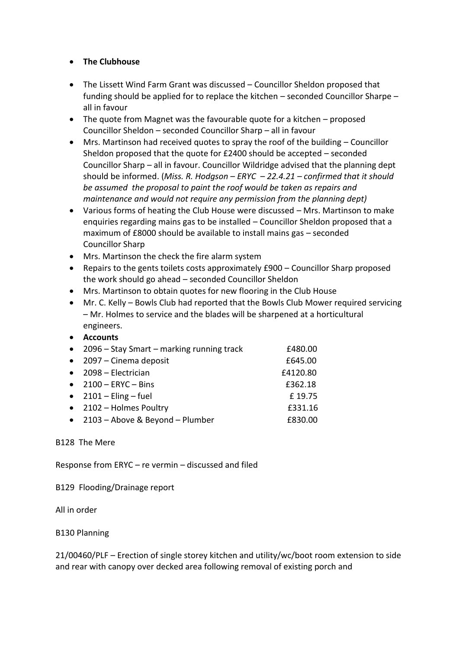## • **The Clubhouse**

- The Lissett Wind Farm Grant was discussed Councillor Sheldon proposed that funding should be applied for to replace the kitchen – seconded Councillor Sharpe – all in favour
- The quote from Magnet was the favourable quote for a kitchen proposed Councillor Sheldon – seconded Councillor Sharp – all in favour
- Mrs. Martinson had received quotes to spray the roof of the building Councillor Sheldon proposed that the quote for £2400 should be accepted – seconded Councillor Sharp – all in favour. Councillor Wildridge advised that the planning dept should be informed. (*Miss. R. Hodgson – ERYC – 22.4.21 – confirmed that it should be assumed the proposal to paint the roof would be taken as repairs and maintenance and would not require any permission from the planning dept)*
- Various forms of heating the Club House were discussed Mrs. Martinson to make enquiries regarding mains gas to be installed – Councillor Sheldon proposed that a maximum of £8000 should be available to install mains gas – seconded Councillor Sharp
- Mrs. Martinson the check the fire alarm system
- Repairs to the gents toilets costs approximately £900 Councillor Sharp proposed the work should go ahead – seconded Councillor Sheldon
- Mrs. Martinson to obtain quotes for new flooring in the Club House
- Mr. C. Kelly Bowls Club had reported that the Bowls Club Mower required servicing – Mr. Holmes to service and the blades will be sharpened at a horticultural engineers.

#### • **Accounts**

| $\bullet$ | 2096 – Stay Smart – marking running track | £480.00  |
|-----------|-------------------------------------------|----------|
| $\bullet$ | 2097 – Cinema deposit                     | £645.00  |
| $\bullet$ | 2098 – Electrician                        | £4120.80 |
|           | $\bullet$ 2100 – ERYC – Bins              | £362.18  |
|           | $\bullet$ 2101 – Eling – fuel             | £19.75   |
|           | $\bullet$ 2102 – Holmes Poultry           | £331.16  |
| $\bullet$ | 2103 – Above & Beyond – Plumber           | £830.00  |

#### B128 The Mere

Response from ERYC – re vermin – discussed and filed

B129 Flooding/Drainage report

All in order

## B130 Planning

21/00460/PLF – Erection of single storey kitchen and utility/wc/boot room extension to side and rear with canopy over decked area following removal of existing porch and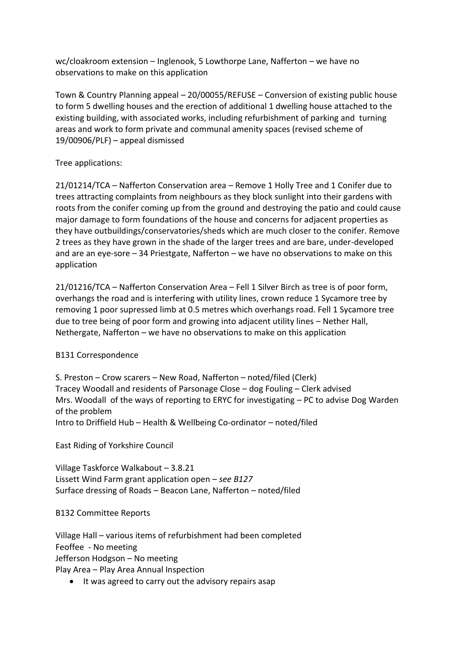wc/cloakroom extension – Inglenook, 5 Lowthorpe Lane, Nafferton – we have no observations to make on this application

Town & Country Planning appeal – 20/00055/REFUSE – Conversion of existing public house to form 5 dwelling houses and the erection of additional 1 dwelling house attached to the existing building, with associated works, including refurbishment of parking and turning areas and work to form private and communal amenity spaces (revised scheme of 19/00906/PLF) – appeal dismissed

## Tree applications:

21/01214/TCA – Nafferton Conservation area – Remove 1 Holly Tree and 1 Conifer due to trees attracting complaints from neighbours as they block sunlight into their gardens with roots from the conifer coming up from the ground and destroying the patio and could cause major damage to form foundations of the house and concerns for adjacent properties as they have outbuildings/conservatories/sheds which are much closer to the conifer. Remove 2 trees as they have grown in the shade of the larger trees and are bare, under-developed and are an eye-sore – 34 Priestgate, Nafferton – we have no observations to make on this application

21/01216/TCA – Nafferton Conservation Area – Fell 1 Silver Birch as tree is of poor form, overhangs the road and is interfering with utility lines, crown reduce 1 Sycamore tree by removing 1 poor supressed limb at 0.5 metres which overhangs road. Fell 1 Sycamore tree due to tree being of poor form and growing into adjacent utility lines – Nether Hall, Nethergate, Nafferton – we have no observations to make on this application

## B131 Correspondence

S. Preston – Crow scarers – New Road, Nafferton – noted/filed (Clerk) Tracey Woodall and residents of Parsonage Close – dog Fouling – Clerk advised Mrs. Woodall of the ways of reporting to ERYC for investigating – PC to advise Dog Warden of the problem Intro to Driffield Hub – Health & Wellbeing Co-ordinator – noted/filed

East Riding of Yorkshire Council

Village Taskforce Walkabout – 3.8.21 Lissett Wind Farm grant application open – *see B127* Surface dressing of Roads – Beacon Lane, Nafferton – noted/filed

#### B132 Committee Reports

Village Hall – various items of refurbishment had been completed Feoffee - No meeting Jefferson Hodgson – No meeting Play Area – Play Area Annual Inspection

• It was agreed to carry out the advisory repairs asap